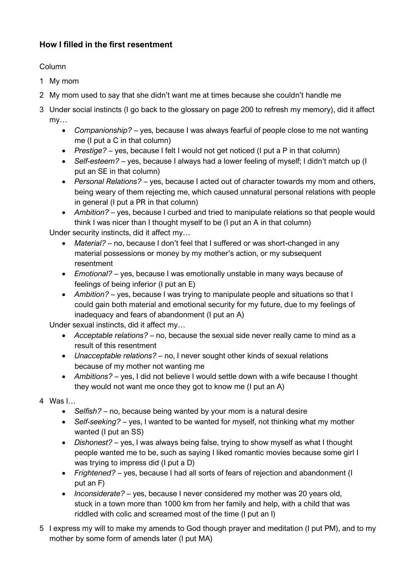## **How I filled in the first resentment**

### Column

- 1 My mom
- 2 My mom used to say that she didn't want me at times because she couldn't handle me
- 3 Under social instincts (I go back to the glossary on page 200 to refresh my memory), did it affect my…
	- *Companionship?* yes, because I was always fearful of people close to me not wanting me (I put a C in that column)
	- *Prestige?* yes, because I felt I would not get noticed (I put a P in that column)
	- *Self-esteem?* yes, because I always had a lower feeling of myself; I didn't match up (I put an SE in that column)
	- *Personal Relations?* yes, because I acted out of character towards my mom and others, being weary of them rejecting me, which caused unnatural personal relations with people in general (I put a PR in that column)
	- *Ambition?* yes, because I curbed and tried to manipulate relations so that people would think I was nicer than I thought myself to be (I put an A in that column)

Under security instincts, did it affect my…

- *Material?* no, because I don't feel that I suffered or was short-changed in any material possessions or money by my mother's action, or my subsequent resentment
- *Emotional?* yes, because I was emotionally unstable in many ways because of feelings of being inferior (I put an E)
- *Ambition?* yes, because I was trying to manipulate people and situations so that I could gain both material and emotional security for my future, due to my feelings of inadequacy and fears of abandonment (I put an A)

Under sexual instincts, did it affect my…

- *Acceptable relations?* no, because the sexual side never really came to mind as a result of this resentment
- *Unacceptable relations?* no, I never sought other kinds of sexual relations because of my mother not wanting me
- *Ambitions?* yes, I did not believe I would settle down with a wife because I thought they would not want me once they got to know me (I put an A)
- 4 Was I…
	- *Selfish?* no, because being wanted by your mom is a natural desire
	- *Self-seeking?* yes, I wanted to be wanted for myself, not thinking what my mother wanted (I put an SS)
	- *Dishonest?* yes, I was always being false, trying to show myself as what I thought people wanted me to be, such as saying I liked romantic movies because some girl I was trying to impress did (I put a D)
	- *Frightened?* yes, because I had all sorts of fears of rejection and abandonment (I put an F)
	- *Inconsiderate?*  yes, because I never considered my mother was 20 years old, stuck in a town more than 1000 km from her family and help, with a child that was riddled with colic and screamed most of the time (I put an I)
- 5 I express my will to make my amends to God though prayer and meditation (I put PM), and to my mother by some form of amends later (I put MA)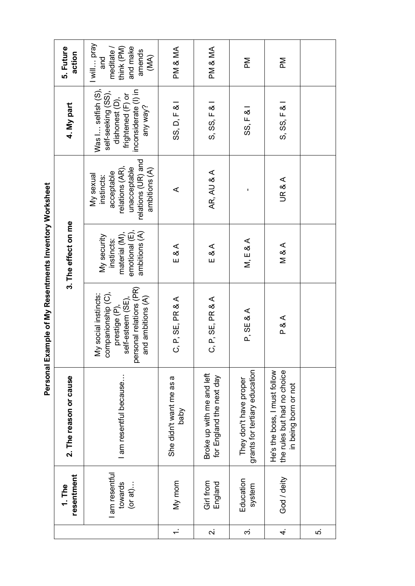| resentment<br>1. The                     | 2. The reason or cause                                                              |                                                                                                                                 | 3. The effect on me                                                           |                                                                                                                 | 4. My part                                                                                                          | 5. Future<br>action                                                          |
|------------------------------------------|-------------------------------------------------------------------------------------|---------------------------------------------------------------------------------------------------------------------------------|-------------------------------------------------------------------------------|-----------------------------------------------------------------------------------------------------------------|---------------------------------------------------------------------------------------------------------------------|------------------------------------------------------------------------------|
| am resentful<br>towards<br>$($ or at $)$ | am resentful because                                                                | personal relations (PR)<br>companionship (C),<br>My social instincts:<br>and ambitions (A)<br>self-esteem (SE)<br>prestige (P), | emotional (E),<br>ambitions (A)<br>material (M),<br>My security<br>instincts: | relations (UR) and<br>relations (AR),<br>unacceptable<br>ambitions (A)<br>acceptable<br>My sexual<br>instincts: | Was I selfish (S),<br>inconsiderate (I) in<br>self-seeking (SS),<br>frightened (F) or<br>dishonest (D),<br>any way? | I will pray<br>think (PM)<br>and make<br>meditate /<br>amends<br>(MA)<br>and |
| My mom                                   | She didn't want me as a<br>Vqeq                                                     | C, P, SE, PR & A                                                                                                                | $E \& A$                                                                      | ⋖                                                                                                               | SS, D, F & I                                                                                                        | PM & MA                                                                      |
| Girl from<br>England                     | Broke up with me and left<br>for England the next day                               | C, P, SE, PR & A                                                                                                                | $E \& A$                                                                      | AR, AU & A                                                                                                      | S, SS, F &                                                                                                          | PM & MA                                                                      |
| Education<br>system                      | grants for tertiary education<br>They don't have proper                             | P, SE & A                                                                                                                       | M, E & A                                                                      |                                                                                                                 | $SS$ , $F$ &                                                                                                        | Μd                                                                           |
| God / deity                              | the rules but had no choice<br>He's the boss, I must follow<br>in being born or not | P & A                                                                                                                           | <b>M&amp;A</b>                                                                | UR & A                                                                                                          | S, SS, F &                                                                                                          | Μd                                                                           |
|                                          |                                                                                     |                                                                                                                                 |                                                                               |                                                                                                                 |                                                                                                                     |                                                                              |

Personal Example of My Resentments Inventory Worksheet **Personal Example of My Resentments Inventory Worksheet**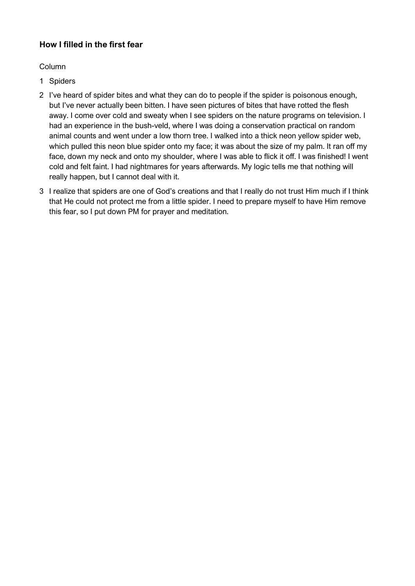## **How I filled in the first fear**

Column

- 1 Spiders
- 2 I've heard of spider bites and what they can do to people if the spider is poisonous enough, but I've never actually been bitten. I have seen pictures of bites that have rotted the flesh away. I come over cold and sweaty when I see spiders on the nature programs on television. I had an experience in the bush-veld, where I was doing a conservation practical on random animal counts and went under a low thorn tree. I walked into a thick neon yellow spider web, which pulled this neon blue spider onto my face; it was about the size of my palm. It ran off my face, down my neck and onto my shoulder, where I was able to flick it off. I was finished! I went cold and felt faint. I had nightmares for years afterwards. My logic tells me that nothing will really happen, but I cannot deal with it.
- 3 I realize that spiders are one of God's creations and that I really do not trust Him much if I think that He could not protect me from a little spider. I need to prepare myself to have Him remove this fear, so I put down PM for prayer and meditation.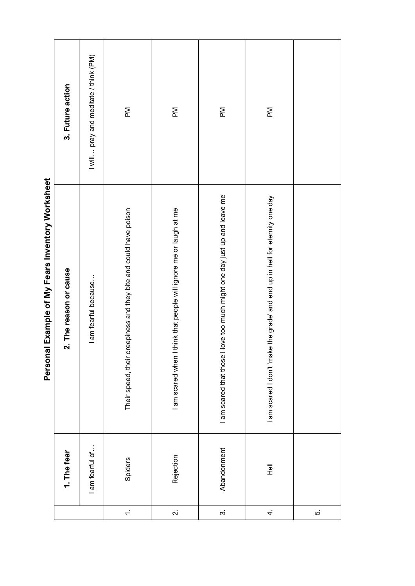|                                                  | 3. Future action       | I will  pray and meditate / think (PM) | $\mathbb{N}$                                                      | $\mathbb{N}$                                                          | $\mathbb{N}$                                                              | $\mathbb{N}$                                                                 |     |
|--------------------------------------------------|------------------------|----------------------------------------|-------------------------------------------------------------------|-----------------------------------------------------------------------|---------------------------------------------------------------------------|------------------------------------------------------------------------------|-----|
| Personal Example of My Fears Inventory Worksheet | 2. The reason or cause | I am fearful because                   | Their speed, their creepiness and they bite and could have poison | think that people will ignore me or laugh at me<br>I am scared when I | I am scared that those I love too much might one day just up and leave me | I am scared I don't 'make the grade' and end up in hell for eternity one day |     |
|                                                  | 1. The fear            | I am fearful of                        | Spiders                                                           | Rejection                                                             | Abandonment                                                               | $\overline{\overline{e}}$                                                    |     |
|                                                  |                        |                                        | $\div$                                                            | $\overline{\mathcal{N}}$                                              | $\vec{3}$                                                                 | 4.                                                                           | ιó. |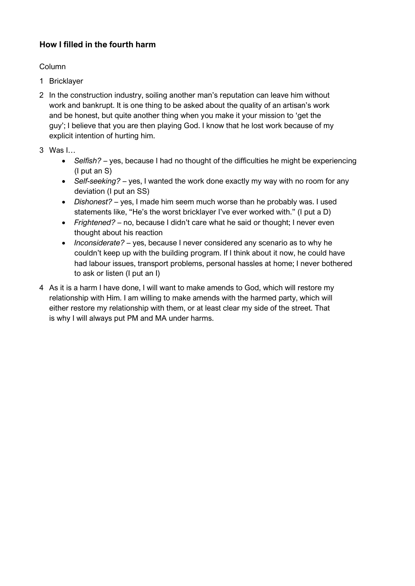## **How I filled in the fourth harm**

#### Column

- 1 Bricklayer
- 2 In the construction industry, soiling another man's reputation can leave him without work and bankrupt. It is one thing to be asked about the quality of an artisan's work and be honest, but quite another thing when you make it your mission to 'get the guy'; I believe that you are then playing God. I know that he lost work because of my explicit intention of hurting him.
- 3 Was I…
	- *Selfish?* yes, because I had no thought of the difficulties he might be experiencing (I put an S)
	- *Self-seeking?* yes, I wanted the work done exactly my way with no room for any deviation (I put an SS)
	- *Dishonest?* yes, I made him seem much worse than he probably was. I used statements like, "He's the worst bricklayer I've ever worked with." (I put a D)
	- *Frightened?* no, because I didn't care what he said or thought; I never even thought about his reaction
	- *Inconsiderate?* yes, because I never considered any scenario as to why he couldn't keep up with the building program. If I think about it now, he could have had labour issues, transport problems, personal hassles at home; I never bothered to ask or listen (I put an I)
- 4 As it is a harm I have done, I will want to make amends to God, which will restore my relationship with Him. I am willing to make amends with the harmed party, which will either restore my relationship with them, or at least clear my side of the street. That is why I will always put PM and MA under harms.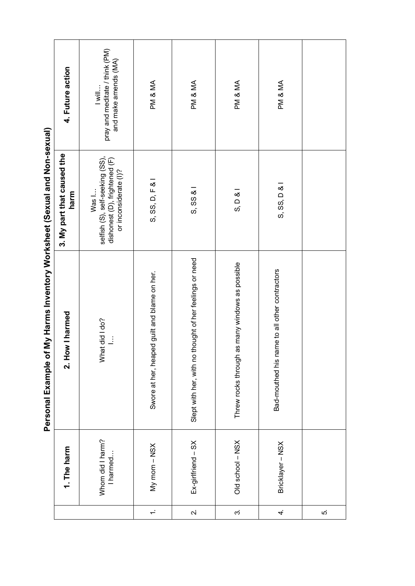| My Harms Inventory Worksheet (Sexual and Non-sexual)<br>Personal Example of | 4. Future action<br>3. My part that caused the<br>harm<br>2. How I harmed | pray and meditate / think (PM)<br>and make amends (MA)<br>$\overline{\mathsf{Will}}$<br>selfish (S), self-seeking (SS),<br>dishonest (D), frightened (F)<br>or inconsiderate (I)?<br>Was I<br>What did I do?<br>I<br>I harmed | PM & MA<br>S, SS, D, F & I<br>Swore at her, heaped guilt and blame on her. | PM & MA<br>$S, SSS$ & I<br>Slept with her, with no thought of her feelings or need | PM & MA<br>S, D, 8<br>Threw rocks through as many windows as possible | PM & MA<br>S, SS, D &<br>Bad-mouthed his name to all other contractors |   |
|-----------------------------------------------------------------------------|---------------------------------------------------------------------------|-------------------------------------------------------------------------------------------------------------------------------------------------------------------------------------------------------------------------------|----------------------------------------------------------------------------|------------------------------------------------------------------------------------|-----------------------------------------------------------------------|------------------------------------------------------------------------|---|
|                                                                             | 1. The harm                                                               | Whom did I harm?                                                                                                                                                                                                              | My mom - NSX                                                               | $Ex\text{-}girffriend - SX$                                                        | Old school - NSX                                                      | Bricklayer - NSX                                                       |   |
|                                                                             |                                                                           |                                                                                                                                                                                                                               | $\div$                                                                     | $\dot{\mathsf{N}}$                                                                 | $\dot{\infty}$                                                        | 4.                                                                     | ċ |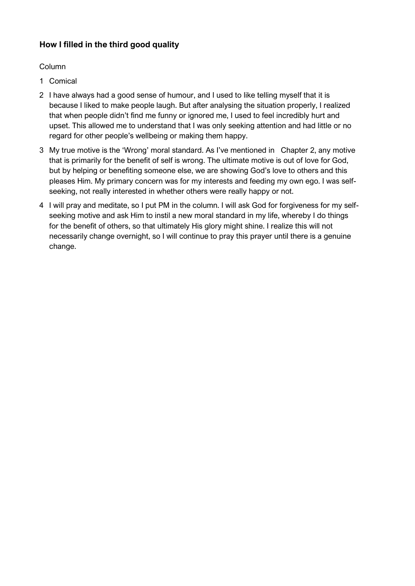## **How I filled in the third good quality**

#### Column

- 1 Comical
- 2 I have always had a good sense of humour, and I used to like telling myself that it is because I liked to make people laugh. But after analysing the situation properly, I realized that when people didn't find me funny or ignored me, I used to feel incredibly hurt and upset. This allowed me to understand that I was only seeking attention and had little or no regard for other people's wellbeing or making them happy.
- 3 My true motive is the 'Wrong' moral standard. As I've mentioned in Chapter 2, any motive that is primarily for the benefit of self is wrong. The ultimate motive is out of love for God, but by helping or benefiting someone else, we are showing God's love to others and this pleases Him. My primary concern was for my interests and feeding my own ego. I was selfseeking, not really interested in whether others were really happy or not.
- 4 I will pray and meditate, so I put PM in the column. I will ask God for forgiveness for my selfseeking motive and ask Him to instil a new moral standard in my life, whereby I do things for the benefit of others, so that ultimately His glory might shine. I realize this will not necessarily change overnight, so I will continue to pray this prayer until there is a genuine change.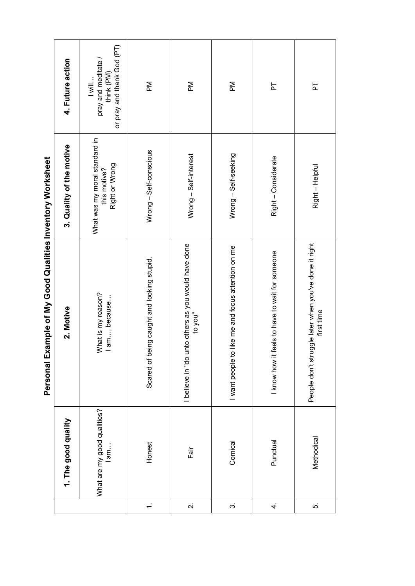|                         |                                    | Personal Example of My Good Qualities Inventory Worksheet           |                                                                 |                                                                             |
|-------------------------|------------------------------------|---------------------------------------------------------------------|-----------------------------------------------------------------|-----------------------------------------------------------------------------|
|                         | 1. The good quality                | 2. Motive                                                           | 3. Quality of the motive                                        | 4. Future action                                                            |
|                         | What are my good qualities?<br>lam | What is my reason?<br>l am, because                                 | What was my moral standard in<br>Right or Wrong<br>this motive? | or pray and thank God (PT)<br>pray and meditate /<br>think (PM)<br>$ $ will |
| $\div$                  | Honest                             | Scared of being caught and looking stupid.                          | Wrong - Self-conscious                                          | $\mathbb{R}$                                                                |
| $\overline{\mathbf{v}}$ | Fair                               | I believe in "do unto others as you would have done<br>to you"      | Wrong - Self-interest                                           | $\mathbb{R}$                                                                |
| $\dot{\infty}$          | Comical                            | like me and focus attention on me<br>I want people to               | Wrong - Self-seeking                                            | $\mathbb{R}$                                                                |
| 4.                      | Punctual                           | feels to have to wait for someone<br>I know how it                  | Right - Considerate                                             | 눕                                                                           |
| ś,                      | Methodical                         | People don't struggle later when you've done it right<br>first time | Right - Helpful                                                 | ኴ                                                                           |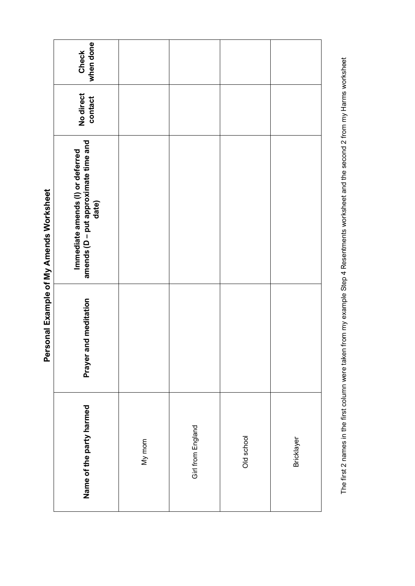| when done<br>Check                                                                |        |                   |            |            |
|-----------------------------------------------------------------------------------|--------|-------------------|------------|------------|
| No direct<br>contact                                                              |        |                   |            |            |
| Immediate amends (Ι) or deferred<br>amends (D – put approximate time and<br>date) |        |                   |            |            |
| and meditation<br>Prayer <sub>i</sub>                                             |        |                   |            |            |
| Name of the party harmed                                                          | My mom | Girl from England | Old school | Bricklayer |

Personal Example of My Amends Worksheet **Personal Example of My Amends Worksheet** The first 2 names in the first column were taken from my example Step 4 Resentments worksheet and the second 2 from my Harms worksheet The first 2 names in the first column were taken from my example Step 4 Resentments worksheet and the second 2 from my Harms worksheet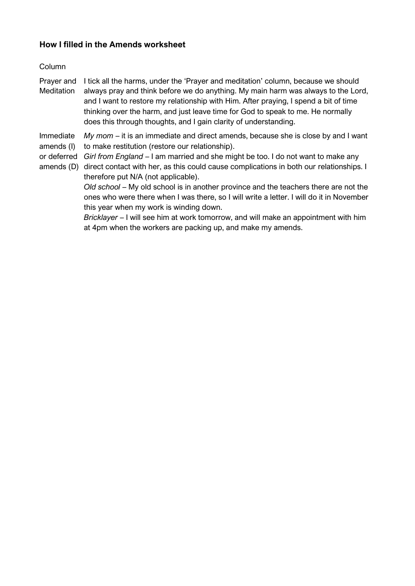#### **How I filled in the Amends worksheet**

#### Column

Prayer and I tick all the harms, under the 'Prayer and meditation' column, because we should **Meditation** always pray and think before we do anything. My main harm was always to the Lord, and I want to restore my relationship with Him. After praying, I spend a bit of time thinking over the harm, and just leave time for God to speak to me. He normally does this through thoughts, and I gain clarity of understanding.

Immediate amends (I) *My mom* – it is an immediate and direct amends, because she is close by and I want to make restitution (restore our relationship).

or deferred *Girl from England* – I am married and she might be too. I do not want to make any

amends (D) direct contact with her, as this could cause complications in both our relationships. I therefore put N/A (not applicable).

> *Old school* – My old school is in another province and the teachers there are not the ones who were there when I was there, so I will write a letter. I will do it in November this year when my work is winding down.

> *Bricklayer* – I will see him at work tomorrow, and will make an appointment with him at 4pm when the workers are packing up, and make my amends.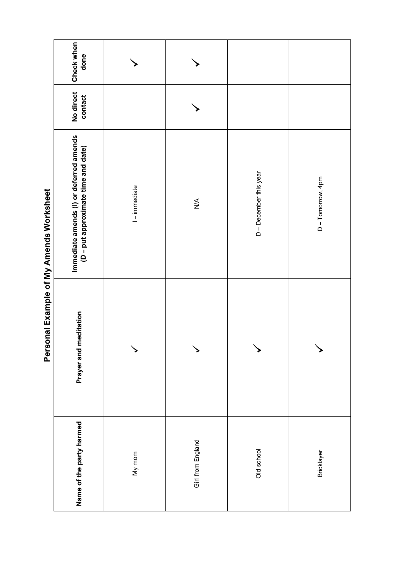|                                         | Check when<br>done                                                             |                 |                   |                        |                 |
|-----------------------------------------|--------------------------------------------------------------------------------|-----------------|-------------------|------------------------|-----------------|
|                                         | No direct<br>contact                                                           |                 |                   |                        |                 |
| Personal Example of My Amends Worksheet | Immediate amends (I) or deferred amends<br>(D - put approximate time and date) | $1 -$ immediate | $\lessgtr$        | D - December this year | D-Tomorrow, 4pm |
|                                         | Prayer and meditation                                                          |                 |                   |                        |                 |
|                                         | Name of the party harmed                                                       | My mom          | Girl from England | Old school             | Bricklayer      |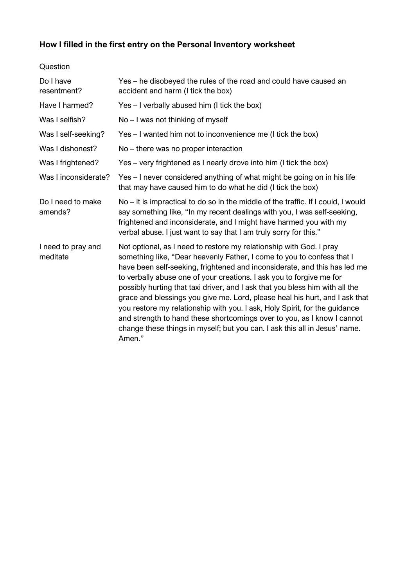# **How I filled in the first entry on the Personal Inventory worksheet**

| Do I have<br>resentment?       | Yes – he disobeyed the rules of the road and could have caused an<br>accident and harm (I tick the box)                                                                                                                                                                                                                                                                                                                                                                                                                                                                                                                                                                                                            |
|--------------------------------|--------------------------------------------------------------------------------------------------------------------------------------------------------------------------------------------------------------------------------------------------------------------------------------------------------------------------------------------------------------------------------------------------------------------------------------------------------------------------------------------------------------------------------------------------------------------------------------------------------------------------------------------------------------------------------------------------------------------|
| Have I harmed?                 | Yes - I verbally abused him (I tick the box)                                                                                                                                                                                                                                                                                                                                                                                                                                                                                                                                                                                                                                                                       |
| Was I selfish?                 | No – I was not thinking of myself                                                                                                                                                                                                                                                                                                                                                                                                                                                                                                                                                                                                                                                                                  |
| Was I self-seeking?            | Yes – I wanted him not to inconvenience me (I tick the box)                                                                                                                                                                                                                                                                                                                                                                                                                                                                                                                                                                                                                                                        |
| Was I dishonest?               | No – there was no proper interaction                                                                                                                                                                                                                                                                                                                                                                                                                                                                                                                                                                                                                                                                               |
| Was I frightened?              | Yes - very frightened as I nearly drove into him (I tick the box)                                                                                                                                                                                                                                                                                                                                                                                                                                                                                                                                                                                                                                                  |
| Was I inconsiderate?           | Yes - I never considered anything of what might be going on in his life<br>that may have caused him to do what he did (I tick the box)                                                                                                                                                                                                                                                                                                                                                                                                                                                                                                                                                                             |
| Do I need to make<br>amends?   | No – it is impractical to do so in the middle of the traffic. If I could, I would<br>say something like, "In my recent dealings with you, I was self-seeking,<br>frightened and inconsiderate, and I might have harmed you with my<br>verbal abuse. I just want to say that I am truly sorry for this."                                                                                                                                                                                                                                                                                                                                                                                                            |
| I need to pray and<br>meditate | Not optional, as I need to restore my relationship with God. I pray<br>something like, "Dear heavenly Father, I come to you to confess that I<br>have been self-seeking, frightened and inconsiderate, and this has led me<br>to verbally abuse one of your creations. I ask you to forgive me for<br>possibly hurting that taxi driver, and I ask that you bless him with all the<br>grace and blessings you give me. Lord, please heal his hurt, and I ask that<br>you restore my relationship with you. I ask, Holy Spirit, for the guidance<br>and strength to hand these shortcomings over to you, as I know I cannot<br>change these things in myself; but you can. I ask this all in Jesus' name.<br>Amen." |